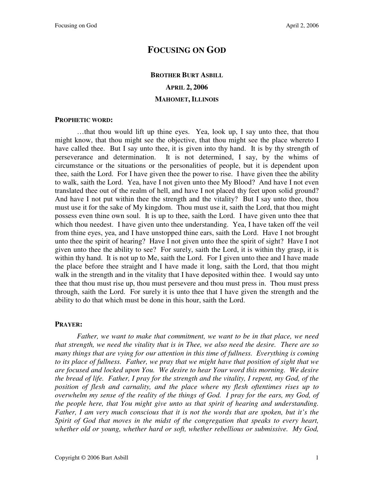# **FOCUSING ON GOD**

# **BROTHER BURT ASBILL APRIL 2, 2006 MAHOMET, ILLINOIS**

#### **PROPHETIC WORD:**

…that thou would lift up thine eyes. Yea, look up, I say unto thee, that thou might know, that thou might see the objective, that thou might see the place whereto I have called thee. But I say unto thee, it is given into thy hand. It is by thy strength of perseverance and determination. It is not determined, I say, by the whims of circumstance or the situations or the personalities of people, but it is dependent upon thee, saith the Lord. For I have given thee the power to rise. I have given thee the ability to walk, saith the Lord. Yea, have I not given unto thee My Blood? And have I not even translated thee out of the realm of hell, and have I not placed thy feet upon solid ground? And have I not put within thee the strength and the vitality? But I say unto thee, thou must use it for the sake of My kingdom. Thou must use it, saith the Lord, that thou might possess even thine own soul. It is up to thee, saith the Lord. I have given unto thee that which thou needest. I have given unto thee understanding. Yea, I have taken off the veil from thine eyes, yea, and I have unstopped thine ears, saith the Lord. Have I not brought unto thee the spirit of hearing? Have I not given unto thee the spirit of sight? Have I not given unto thee the ability to see? For surely, saith the Lord, it is within thy grasp, it is within thy hand. It is not up to Me, saith the Lord. For I given unto thee and I have made the place before thee straight and I have made it long, saith the Lord, that thou might walk in the strength and in the vitality that I have deposited within thee. I would say unto thee that thou must rise up, thou must persevere and thou must press in. Thou must press through, saith the Lord. For surely it is unto thee that I have given the strength and the ability to do that which must be done in this hour, saith the Lord.

### **PRAYER:**

*Father, we want to make that commitment, we want to be in that place, we need that strength, we need the vitality that is in Thee, we also need the desire. There are so many things that are vying for our attention in this time of fullness. Everything is coming to its place of fullness. Father, we pray that we might have that position of sight that we are focused and locked upon You. We desire to hear Your word this morning. We desire the bread of life. Father, I pray for the strength and the vitality, I repent, my God, of the position of flesh and carnality, and the place where my flesh oftentimes rises up to overwhelm my sense of the reality of the things of God. I pray for the ears, my God, of the people here, that You might give unto us that spirit of hearing and understanding. Father, I am very much conscious that it is not the words that are spoken, but it's the Spirit of God that moves in the midst of the congregation that speaks to every heart, whether old or young, whether hard or soft, whether rebellious or submissive. My God,*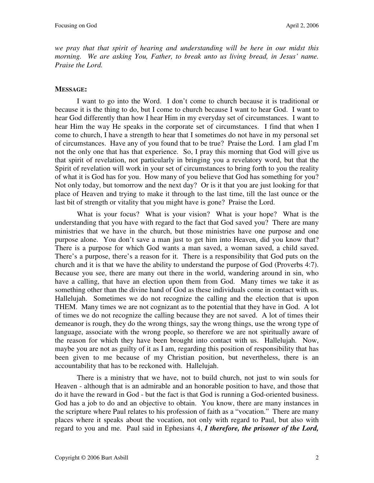*we pray that that spirit of hearing and understanding will be here in our midst this morning. We are asking You, Father, to break unto us living bread, in Jesus' name. Praise the Lord.* 

### **MESSAGE:**

I want to go into the Word. I don't come to church because it is traditional or because it is the thing to do, but I come to church because I want to hear God. I want to hear God differently than how I hear Him in my everyday set of circumstances. I want to hear Him the way He speaks in the corporate set of circumstances. I find that when I come to church, I have a strength to hear that I sometimes do not have in my personal set of circumstances. Have any of you found that to be true? Praise the Lord. I am glad I'm not the only one that has that experience. So, I pray this morning that God will give us that spirit of revelation, not particularly in bringing you a revelatory word, but that the Spirit of revelation will work in your set of circumstances to bring forth to you the reality of what it is God has for you. How many of you believe that God has something for you? Not only today, but tomorrow and the next day? Or is it that you are just looking for that place of Heaven and trying to make it through to the last time, till the last ounce or the last bit of strength or vitality that you might have is gone? Praise the Lord.

What is your focus? What is your vision? What is your hope? What is the understanding that you have with regard to the fact that God saved you? There are many ministries that we have in the church, but those ministries have one purpose and one purpose alone. You don't save a man just to get him into Heaven, did you know that? There is a purpose for which God wants a man saved, a woman saved, a child saved. There's a purpose, there's a reason for it. There is a responsibility that God puts on the church and it is that we have the ability to understand the purpose of God (Proverbs 4:7). Because you see, there are many out there in the world, wandering around in sin, who have a calling, that have an election upon them from God. Many times we take it as something other than the divine hand of God as these individuals come in contact with us. Hallelujah. Sometimes we do not recognize the calling and the election that is upon THEM. Many times we are not cognizant as to the potential that they have in God. A lot of times we do not recognize the calling because they are not saved. A lot of times their demeanor is rough, they do the wrong things, say the wrong things, use the wrong type of language, associate with the wrong people, so therefore we are not spiritually aware of the reason for which they have been brought into contact with us. Hallelujah. Now, maybe you are not as guilty of it as I am, regarding this position of responsibility that has been given to me because of my Christian position, but nevertheless, there is an accountability that has to be reckoned with. Hallelujah.

There is a ministry that we have, not to build church, not just to win souls for Heaven - although that is an admirable and an honorable position to have, and those that do it have the reward in God - but the fact is that God is running a God-oriented business. God has a job to do and an objective to obtain. You know, there are many instances in the scripture where Paul relates to his profession of faith as a "vocation." There are many places where it speaks about the vocation, not only with regard to Paul, but also with regard to you and me. Paul said in Ephesians 4, *I therefore, the prisoner of the Lord,*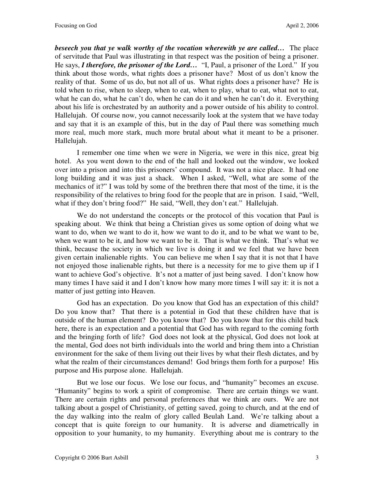*beseech you that ye walk worthy of the vocation wherewith ye are called…* The place of servitude that Paul was illustrating in that respect was the position of being a prisoner. He says, *I therefore, the prisoner of the Lord…* "I, Paul, a prisoner of the Lord." If you think about those words, what rights does a prisoner have? Most of us don't know the reality of that. Some of us do, but not all of us. What rights does a prisoner have? He is told when to rise, when to sleep, when to eat, when to play, what to eat, what not to eat, what he can do, what he can't do, when he can do it and when he can't do it. Everything about his life is orchestrated by an authority and a power outside of his ability to control. Hallelujah. Of course now, you cannot necessarily look at the system that we have today and say that it is an example of this, but in the day of Paul there was something much more real, much more stark, much more brutal about what it meant to be a prisoner. Hallelujah.

I remember one time when we were in Nigeria, we were in this nice, great big hotel. As you went down to the end of the hall and looked out the window, we looked over into a prison and into this prisoners' compound. It was not a nice place. It had one long building and it was just a shack. When I asked, "Well, what are some of the mechanics of it?" I was told by some of the brethren there that most of the time, it is the responsibility of the relatives to bring food for the people that are in prison. I said, "Well, what if they don't bring food?" He said, "Well, they don't eat." Hallelujah.

We do not understand the concepts or the protocol of this vocation that Paul is speaking about. We think that being a Christian gives us some option of doing what we want to do, when we want to do it, how we want to do it, and to be what we want to be, when we want to be it, and how we want to be it. That is what we think. That's what we think, because the society in which we live is doing it and we feel that we have been given certain inalienable rights. You can believe me when I say that it is not that I have not enjoyed those inalienable rights, but there is a necessity for me to give them up if I want to achieve God's objective. It's not a matter of just being saved. I don't know how many times I have said it and I don't know how many more times I will say it: it is not a matter of just getting into Heaven.

God has an expectation. Do you know that God has an expectation of this child? Do you know that? That there is a potential in God that these children have that is outside of the human element? Do you know that? Do you know that for this child back here, there is an expectation and a potential that God has with regard to the coming forth and the bringing forth of life? God does not look at the physical, God does not look at the mental, God does not birth individuals into the world and bring them into a Christian environment for the sake of them living out their lives by what their flesh dictates, and by what the realm of their circumstances demand! God brings them forth for a purpose! His purpose and His purpose alone. Hallelujah.

But we lose our focus. We lose our focus, and "humanity" becomes an excuse. "Humanity" begins to work a spirit of compromise. There are certain things we want. There are certain rights and personal preferences that we think are ours. We are not talking about a gospel of Christianity, of getting saved, going to church, and at the end of the day walking into the realm of glory called Beulah Land. We're talking about a concept that is quite foreign to our humanity. It is adverse and diametrically in opposition to your humanity, to my humanity. Everything about me is contrary to the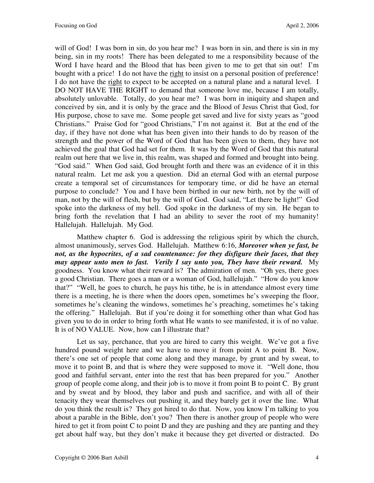will of God! I was born in sin, do you hear me? I was born in sin, and there is sin in my being, sin in my roots! There has been delegated to me a responsibility because of the Word I have heard and the Blood that has been given to me to get that sin out! I'm bought with a price! I do not have the right to insist on a personal position of preference! I do not have the right to expect to be accepted on a natural plane and a natural level. I DO NOT HAVE THE RIGHT to demand that someone love me, because I am totally, absolutely unlovable. Totally, do you hear me? I was born in iniquity and shapen and conceived by sin, and it is only by the grace and the Blood of Jesus Christ that God, for His purpose, chose to save me. Some people get saved and live for sixty years as "good Christians." Praise God for "good Christians," I'm not against it. But at the end of the day, if they have not done what has been given into their hands to do by reason of the strength and the power of the Word of God that has been given to them, they have not achieved the goal that God had set for them. It was by the Word of God that this natural realm out here that we live in, this realm, was shaped and formed and brought into being. "God said." When God said, God brought forth and there was an evidence of it in this natural realm. Let me ask you a question. Did an eternal God with an eternal purpose create a temporal set of circumstances for temporary time, or did he have an eternal purpose to conclude? You and I have been birthed in our new birth, not by the will of man, not by the will of flesh, but by the will of God. God said, "Let there be light!" God spoke into the darkness of my hell. God spoke in the darkness of my sin. He began to bring forth the revelation that I had an ability to sever the root of my humanity! Hallelujah. Hallelujah. My God.

Matthew chapter 6.God is addressing the religious spirit by which the church, almost unanimously, serves God. Hallelujah. Matthew 6:16, *Moreover when ye fast, be not, as the hypocrites, of a sad countenance: for they disfigure their faces, that they may appear unto men to fast. Verily I say unto you, They have their reward.* My goodness. You know what their reward is? The admiration of men. "Oh yes, there goes a good Christian. There goes a man or a woman of God, hallelujah." "How do you know that?" "Well, he goes to church, he pays his tithe, he is in attendance almost every time there is a meeting, he is there when the doors open, sometimes he's sweeping the floor, sometimes he's cleaning the windows, sometimes he's preaching, sometimes he's taking the offering." Hallelujah. But if you're doing it for something other than what God has given you to do in order to bring forth what He wants to see manifested, it is of no value. It is of NO VALUE. Now, how can I illustrate that?

Let us say, perchance, that you are hired to carry this weight. We've got a five hundred pound weight here and we have to move it from point A to point B. Now, there's one set of people that come along and they manage, by grunt and by sweat, to move it to point B, and that is where they were supposed to move it. "Well done, thou good and faithful servant, enter into the rest that has been prepared for you." Another group of people come along, and their job is to move it from point B to point C. By grunt and by sweat and by blood, they labor and push and sacrifice, and with all of their tenacity they wear themselves out pushing it, and they barely get it over the line. What do you think the result is? They got hired to do that. Now, you know I'm talking to you about a parable in the Bible, don't you? Then there is another group of people who were hired to get it from point C to point D and they are pushing and they are panting and they get about half way, but they don't make it because they get diverted or distracted. Do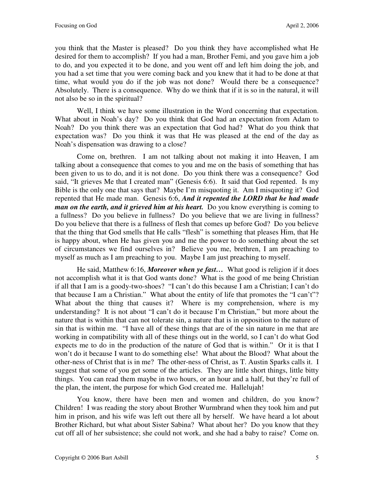you think that the Master is pleased? Do you think they have accomplished what He desired for them to accomplish? If you had a man, Brother Femi, and you gave him a job to do, and you expected it to be done, and you went off and left him doing the job, and you had a set time that you were coming back and you knew that it had to be done at that time, what would you do if the job was not done? Would there be a consequence? Absolutely. There is a consequence. Why do we think that if it is so in the natural, it will not also be so in the spiritual?

Well, I think we have some illustration in the Word concerning that expectation. What about in Noah's day? Do you think that God had an expectation from Adam to Noah? Do you think there was an expectation that God had? What do you think that expectation was? Do you think it was that He was pleased at the end of the day as Noah's dispensation was drawing to a close?

Come on, brethren. I am not talking about not making it into Heaven, I am talking about a consequence that comes to you and me on the basis of something that has been given to us to do, and it is not done. Do you think there was a consequence? God said, "It grieves Me that I created man" (Genesis 6:6). It said that God repented. Is my Bible is the only one that says that? Maybe I'm misquoting it. Am I misquoting it? God repented that He made man. Genesis 6:6, *And it repented the LORD that he had made man on the earth, and it grieved him at his heart.* Do you know everything is coming to a fullness? Do you believe in fullness? Do you believe that we are living in fullness? Do you believe that there is a fullness of flesh that comes up before God? Do you believe that the thing that God smells that He calls "flesh" is something that pleases Him, that He is happy about, when He has given you and me the power to do something about the set of circumstances we find ourselves in? Believe you me, brethren, I am preaching to myself as much as I am preaching to you. Maybe I am just preaching to myself.

He said, Matthew 6:16, *Moreover when ye fast…* What good is religion if it does not accomplish what it is that God wants done? What is the good of me being Christian if all that I am is a goody-two-shoes? "I can't do this because I am a Christian; I can't do that because I am a Christian." What about the entity of life that promotes the "I can't"? What about the thing that causes it? Where is my comprehension, where is my understanding? It is not about "I can't do it because I'm Christian," but more about the nature that is within that can not tolerate sin, a nature that is in opposition to the nature of sin that is within me. "I have all of these things that are of the sin nature in me that are working in compatibility with all of these things out in the world, so I can't do what God expects me to do in the production of the nature of God that is within." Or it is that I won't do it because I want to do something else! What about the Blood? What about the other-ness of Christ that is in me? The other-ness of Christ, as T. Austin Sparks calls it. I suggest that some of you get some of the articles. They are little short things, little bitty things. You can read them maybe in two hours, or an hour and a half, but they're full of the plan, the intent, the purpose for which God created me. Hallelujah!

You know, there have been men and women and children, do you know? Children! I was reading the story about Brother Wurmbrand when they took him and put him in prison, and his wife was left out there all by herself. We have heard a lot about Brother Richard, but what about Sister Sabina? What about her? Do you know that they cut off all of her subsistence; she could not work, and she had a baby to raise? Come on.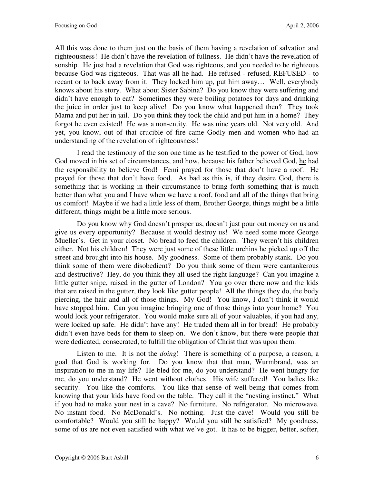All this was done to them just on the basis of them having a revelation of salvation and righteousness! He didn't have the revelation of fullness. He didn't have the revelation of sonship. He just had a revelation that God was righteous, and you needed to be righteous because God was righteous. That was all he had. He refused - refused, REFUSED - to recant or to back away from it. They locked him up, put him away… Well, everybody knows about his story. What about Sister Sabina? Do you know they were suffering and didn't have enough to eat? Sometimes they were boiling potatoes for days and drinking the juice in order just to keep alive! Do you know what happened then? They took Mama and put her in jail. Do you think they took the child and put him in a home? They forgot he even existed! He was a non-entity. He was nine years old. Not very old. And yet, you know, out of that crucible of fire came Godly men and women who had an understanding of the revelation of righteousness!

I read the testimony of the son one time as he testified to the power of God, how God moved in his set of circumstances, and how, because his father believed God, he had the responsibility to believe God! Femi prayed for those that don't have a roof. He prayed for those that don't have food. As bad as this is, if they desire God, there is something that is working in their circumstance to bring forth something that is much better than what you and I have when we have a roof, food and all of the things that bring us comfort! Maybe if we had a little less of them, Brother George, things might be a little different, things might be a little more serious.

Do you know why God doesn't prosper us, doesn't just pour out money on us and give us every opportunity? Because it would destroy us! We need some more George Mueller's. Get in your closet. No bread to feed the children. They weren't his children either. Not his children! They were just some of these little urchins he picked up off the street and brought into his house. My goodness. Some of them probably stank. Do you think some of them were disobedient? Do you think some of them were cantankerous and destructive? Hey, do you think they all used the right language? Can you imagine a little gutter snipe, raised in the gutter of London? You go over there now and the kids that are raised in the gutter, they look like gutter people! All the things they do, the body piercing, the hair and all of those things. My God! You know, I don't think it would have stopped him. Can you imagine bringing one of those things into your home? You would lock your refrigerator. You would make sure all of your valuables, if you had any, were locked up safe. He didn't have any! He traded them all in for bread! He probably didn't even have beds for them to sleep on. We don't know, but there were people that were dedicated, consecrated, to fulfill the obligation of Christ that was upon them.

Listen to me. It is not the *doing*! There is something of a purpose, a reason, a goal that God is working for. Do you know that that man, Wurmbrand, was an inspiration to me in my life? He bled for me, do you understand? He went hungry for me, do you understand? He went without clothes. His wife suffered! You ladies like security. You like the comforts. You like that sense of well-being that comes from knowing that your kids have food on the table. They call it the "nesting instinct." What if you had to make your nest in a cave? No furniture. No refrigerator. No microwave. No instant food. No McDonald's. No nothing. Just the cave! Would you still be comfortable? Would you still be happy? Would you still be satisfied? My goodness, some of us are not even satisfied with what we've got. It has to be bigger, better, softer,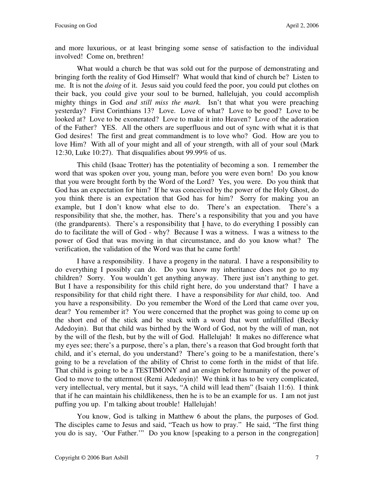and more luxurious, or at least bringing some sense of satisfaction to the individual involved! Come on, brethren!

What would a church be that was sold out for the purpose of demonstrating and bringing forth the reality of God Himself? What would that kind of church be? Listen to me. It is not the *doing* of it. Jesus said you could feed the poor, you could put clothes on their back, you could give your soul to be burned, hallelujah, you could accomplish mighty things in God *and still miss the mark.* Isn't that what you were preaching yesterday? First Corinthians 13? Love. Love of what? Love to be good? Love to be looked at? Love to be exonerated? Love to make it into Heaven? Love of the adoration of the Father? YES. All the others are superfluous and out of sync with what it is that God desires! The first and great commandment is to love who? God. How are you to love Him? With all of your might and all of your strength, with all of your soul (Mark 12:30, Luke 10:27). That disqualifies about 99.99% of us.

This child (Isaac Trotter) has the potentiality of becoming a son. I remember the word that was spoken over you, young man, before you were even born! Do you know that you were brought forth by the Word of the Lord? Yes, you were. Do you think that God has an expectation for him? If he was conceived by the power of the Holy Ghost, do you think there is an expectation that God has for him? Sorry for making you an example, but I don't know what else to do. There's an expectation. There's a responsibility that she, the mother, has. There's a responsibility that you and you have (the grandparents). There's a responsibility that I have, to do everything I possibly can do to facilitate the will of God - why? Because I was a witness. I was a witness to the power of God that was moving in that circumstance, and do you know what? The verification, the validation of the Word was that he came forth!

I have a responsibility. I have a progeny in the natural. I have a responsibility to do everything I possibly can do. Do you know my inheritance does not go to my children? Sorry. You wouldn't get anything anyway. There just isn't anything to get. But I have a responsibility for this child right here, do you understand that? I have a responsibility for that child right there. I have a responsibility for *that* child, too. And you have a responsibility. Do you remember the Word of the Lord that came over you, dear? You remember it? You were concerned that the prophet was going to come up on the short end of the stick and be stuck with a word that went unfulfilled (Becky Adedoyin). But that child was birthed by the Word of God, not by the will of man, not by the will of the flesh, but by the will of God. Hallelujah! It makes no difference what my eyes see; there's a purpose, there's a plan, there's a reason that God brought forth that child, and it's eternal, do you understand? There's going to be a manifestation, there's going to be a revelation of the ability of Christ to come forth in the midst of that life. That child is going to be a TESTIMONY and an ensign before humanity of the power of God to move to the uttermost (Remi Adedoyin)! We think it has to be very complicated, very intellectual, very mental, but it says, "A child will lead them" (Isaiah 11:6). I think that if he can maintain his childlikeness, then he is to be an example for us. I am not just puffing you up. I'm talking about trouble! Hallelujah!

You know, God is talking in Matthew 6 about the plans, the purposes of God. The disciples came to Jesus and said, "Teach us how to pray." He said, "The first thing you do is say, 'Our Father.'" Do you know [speaking to a person in the congregation]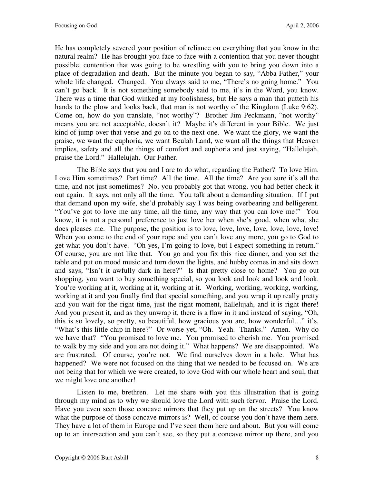He has completely severed your position of reliance on everything that you know in the natural realm? He has brought you face to face with a contention that you never thought possible, contention that was going to be wrestling with you to bring you down into a place of degradation and death. But the minute you began to say, "Abba Father," your whole life changed. Changed. You always said to me, "There's no going home." You can't go back. It is not something somebody said to me, it's in the Word, you know. There was a time that God winked at my foolishness, but He says a man that putteth his hands to the plow and looks back, that man is not worthy of the Kingdom (Luke 9:62). Come on, how do you translate, "not worthy"? Brother Jim Peckmann, "not worthy" means you are not acceptable, doesn't it? Maybe it's different in your Bible. We just kind of jump over that verse and go on to the next one. We want the glory, we want the praise, we want the euphoria, we want Beulah Land, we want all the things that Heaven implies, safety and all the things of comfort and euphoria and just saying, "Hallelujah, praise the Lord." Hallelujah. Our Father.

The Bible says that you and I are to do what, regarding the Father? To love Him. Love Him sometimes? Part time? All the time. All the time? Are you sure it's all the time, and not just sometimes? No, you probably got that wrong, you had better check it out again. It says, not only all the time. You talk about a demanding situation. If I put that demand upon my wife, she'd probably say I was being overbearing and belligerent. "You've got to love me any time, all the time, any way that you can love me!" You know, it is not a personal preference to just love her when she's good, when what she does pleases me. The purpose, the position is to love, love, love, love, love, love, love! When you come to the end of your rope and you can't love any more, you go to God to get what you don't have. "Oh yes, I'm going to love, but I expect something in return." Of course, you are not like that. You go and you fix this nice dinner, and you set the table and put on mood music and turn down the lights, and hubby comes in and sits down and says, "Isn't it awfully dark in here?" Is that pretty close to home? You go out shopping, you want to buy something special, so you look and look and look and look. You're working at it, working at it, working at it. Working, working, working, working, working at it and you finally find that special something, and you wrap it up really pretty and you wait for the right time, just the right moment, hallelujah, and it is right there! And you present it, and as they unwrap it, there is a flaw in it and instead of saying, "Oh, this is so lovely, so pretty, so beautiful, how gracious you are, how wonderful…" it's, "What's this little chip in here?" Or worse yet, "Oh. Yeah. Thanks." Amen. Why do we have that? "You promised to love me. You promised to cherish me. You promised to walk by my side and you are not doing it." What happens? We are disappointed. We are frustrated. Of course, you're not. We find ourselves down in a hole. What has happened? We were not focused on the thing that we needed to be focused on. We are not being that for which we were created, to love God with our whole heart and soul, that we might love one another!

Listen to me, brethren. Let me share with you this illustration that is going through my mind as to why we should love the Lord with such fervor. Praise the Lord. Have you even seen those concave mirrors that they put up on the streets? You know what the purpose of those concave mirrors is? Well, of course you don't have them here. They have a lot of them in Europe and I've seen them here and about. But you will come up to an intersection and you can't see, so they put a concave mirror up there, and you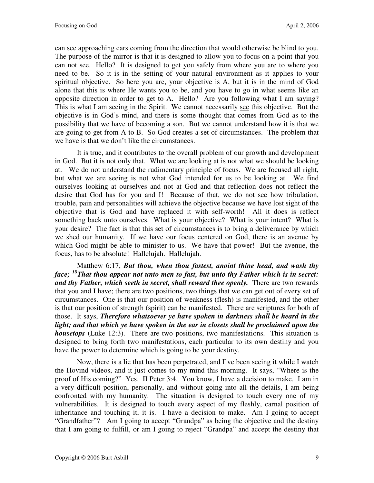can see approaching cars coming from the direction that would otherwise be blind to you. The purpose of the mirror is that it is designed to allow you to focus on a point that you can not see. Hello? It is designed to get you safely from where you are to where you need to be. So it is in the setting of your natural environment as it applies to your spiritual objective. So here you are, your objective is A, but it is in the mind of God alone that this is where He wants you to be, and you have to go in what seems like an opposite direction in order to get to A. Hello? Are you following what I am saying? This is what I am seeing in the Spirit. We cannot necessarily see this objective. But the objective is in God's mind, and there is some thought that comes from God as to the possibility that we have of becoming a son. But we cannot understand how it is that we are going to get from A to B. So God creates a set of circumstances. The problem that we have is that we don't like the circumstances.

It is true, and it contributes to the overall problem of our growth and development in God. But it is not only that. What we are looking at is not what we should be looking at. We do not understand the rudimentary principle of focus. We are focused all right, but what we are seeing is not what God intended for us to be looking at. We find ourselves looking at ourselves and not at God and that reflection does not reflect the desire that God has for you and I! Because of that, we do not see how tribulation, trouble, pain and personalities will achieve the objective because we have lost sight of the objective that is God and have replaced it with self-worth! All it does is reflect something back unto ourselves. What is your objective? What is your intent? What is your desire? The fact is that this set of circumstances is to bring a deliverance by which we shed our humanity. If we have our focus centered on God, there is an avenue by which God might be able to minister to us. We have that power! But the avenue, the focus, has to be absolute! Hallelujah. Hallelujah.

Matthew 6:17, *But thou, when thou fastest, anoint thine head, and wash thy face; <sup>18</sup>That thou appear not unto men to fast, but unto thy Father which is in secret: and thy Father, which seeth in secret, shall reward thee openly.* There are two rewards that you and I have; there are two positions, two things that we can get out of every set of circumstances. One is that our position of weakness (flesh) is manifested, and the other is that our position of strength (spirit) can be manifested. There are scriptures for both of those. It says, *Therefore whatsoever ye have spoken in darkness shall be heard in the light; and that which ye have spoken in the ear in closets shall be proclaimed upon the housetops* (Luke 12:3). There are two positions, two manifestations. This situation is designed to bring forth two manifestations, each particular to its own destiny and you have the power to determine which is going to be your destiny.

Now, there is a lie that has been perpetrated, and I've been seeing it while I watch the Hovind videos, and it just comes to my mind this morning. It says, "Where is the proof of His coming?" Yes. II Peter 3:4. You know, I have a decision to make. I am in a very difficult position, personally, and without going into all the details, I am being confronted with my humanity. The situation is designed to touch every one of my vulnerabilities. It is designed to touch every aspect of my fleshly, carnal position of inheritance and touching it, it is. I have a decision to make. Am I going to accept "Grandfather"? Am I going to accept "Grandpa" as being the objective and the destiny that I am going to fulfill, or am I going to reject "Grandpa" and accept the destiny that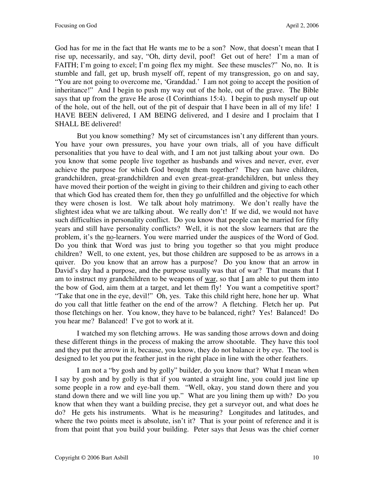God has for me in the fact that He wants me to be a son? Now, that doesn't mean that I rise up, necessarily, and say, "Oh, dirty devil, poof! Get out of here! I'm a man of FAITH; I'm going to excel; I'm going flex my might. See these muscles?" No, no. It is stumble and fall, get up, brush myself off, repent of my transgression, go on and say, "You are not going to overcome me, 'Granddad.' I am not going to accept the position of inheritance!" And I begin to push my way out of the hole, out of the grave. The Bible says that up from the grave He arose (I Corinthians 15:4). I begin to push myself up out of the hole, out of the hell, out of the pit of despair that I have been in all of my life! I HAVE BEEN delivered, I AM BEING delivered, and I desire and I proclaim that I SHALL BE delivered!

But you know something? My set of circumstances isn't any different than yours. You have your own pressures, you have your own trials, all of you have difficult personalities that you have to deal with, and I am not just talking about your own. Do you know that some people live together as husbands and wives and never, ever, ever achieve the purpose for which God brought them together? They can have children, grandchildren, great-grandchildren and even great-great-grandchildren, but unless they have moved their portion of the weight in giving to their children and giving to each other that which God has created them for, then they go unfulfilled and the objective for which they were chosen is lost. We talk about holy matrimony. We don't really have the slightest idea what we are talking about. We really don't! If we did, we would not have such difficulties in personality conflict. Do you know that people can be married for fifty years and still have personality conflicts? Well, it is not the slow learners that are the problem, it's the no-learners. You were married under the auspices of the Word of God. Do you think that Word was just to bring you together so that you might produce children? Well, to one extent, yes, but those children are supposed to be as arrows in a quiver. Do you know that an arrow has a purpose? Do you know that an arrow in David's day had a purpose, and the purpose usually was that of war? That means that I am to instruct my grandchildren to be weapons of war, so that I am able to put them into the bow of God, aim them at a target, and let them fly! You want a competitive sport? "Take that one in the eye, devil!" Oh, yes. Take this child right here, hone her up. What do you call that little feather on the end of the arrow? A fletching. Fletch her up. Put those fletchings on her. You know, they have to be balanced, right? Yes! Balanced! Do you hear me? Balanced! I've got to work at it.

I watched my son fletching arrows. He was sanding those arrows down and doing these different things in the process of making the arrow shootable. They have this tool and they put the arrow in it, because, you know, they do not balance it by eye. The tool is designed to let you put the feather just in the right place in line with the other feathers.

I am not a "by gosh and by golly" builder, do you know that? What I mean when I say by gosh and by golly is that if you wanted a straight line, you could just line up some people in a row and eye-ball them. "Well, okay, you stand down there and you stand down there and we will line you up." What are you lining them up with? Do you know that when they want a building precise, they get a surveyor out, and what does he do? He gets his instruments. What is he measuring? Longitudes and latitudes, and where the two points meet is absolute, isn't it? That is your point of reference and it is from that point that you build your building. Peter says that Jesus was the chief corner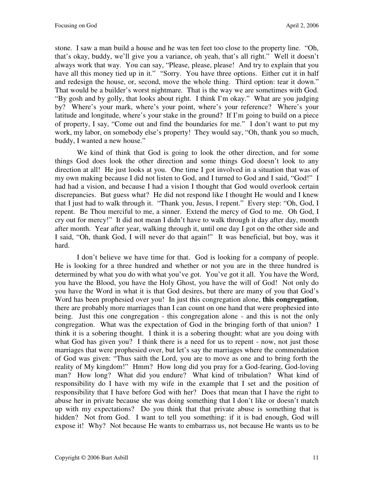stone. I saw a man build a house and he was ten feet too close to the property line. "Oh, that's okay, buddy, we'll give you a variance, oh yeah, that's all right." Well it doesn't always work that way. You can say, "Please, please, please! And try to explain that you have all this money tied up in it." "Sorry. You have three options. Either cut it in half and redesign the house, or, second, move the whole thing. Third option: tear it down." That would be a builder's worst nightmare. That is the way we are sometimes with God. "By gosh and by golly, that looks about right. I think I'm okay." What are you judging by? Where's your mark, where's your point, where's your reference? Where's your latitude and longitude, where's your stake in the ground? If I'm going to build on a piece of property, I say, "Come out and find the boundaries for me." I don't want to put my work, my labor, on somebody else's property! They would say, "Oh, thank you so much, buddy, I wanted a new house."

We kind of think that God is going to look the other direction, and for some things God does look the other direction and some things God doesn't look to any direction at all! He just looks at you. One time I got involved in a situation that was of my own making because I did not listen to God, and I turned to God and I said, "God!" I had had a vision, and because I had a vision I thought that God would overlook certain discrepancies. But guess what? He did not respond like I thought He would and I knew that I just had to walk through it. "Thank you, Jesus, I repent." Every step: "Oh, God, I repent. Be Thou merciful to me, a sinner. Extend the mercy of God to me. Oh God, I cry out for mercy!" It did not mean I didn't have to walk through it day after day, month after month. Year after year, walking through it, until one day I got on the other side and I said, "Oh, thank God, I will never do that again!" It was beneficial, but boy, was it hard.

I don't believe we have time for that. God is looking for a company of people. He is looking for a three hundred and whether or not you are in the three hundred is determined by what you do with what you've got. You've got it all. You have the Word, you have the Blood, you have the Holy Ghost, you have the will of God! Not only do you have the Word in what it is that God desires, but there are many of you that God's Word has been prophesied over you! In just this congregation alone, **this congregation**, there are probably more marriages than I can count on one hand that were prophesied into being. Just this one congregation - this congregation alone - and this is not the only congregation. What was the expectation of God in the bringing forth of that union? I think it is a sobering thought. I think it is a sobering thought: what are you doing with what God has given you? I think there is a need for us to repent - now, not just those marriages that were prophesied over, but let's say the marriages where the commendation of God was given: "Thus saith the Lord, you are to move as one and to bring forth the reality of My kingdom!" Hmm? How long did you pray for a God-fearing, God-loving man? How long? What did you endure? What kind of tribulation? What kind of responsibility do I have with my wife in the example that I set and the position of responsibility that I have before God with her? Does that mean that I have the right to abuse her in private because she was doing something that I don't like or doesn't match up with my expectations? Do you think that that private abuse is something that is hidden? Not from God. I want to tell you something: if it is bad enough, God will expose it! Why? Not because He wants to embarrass us, not because He wants us to be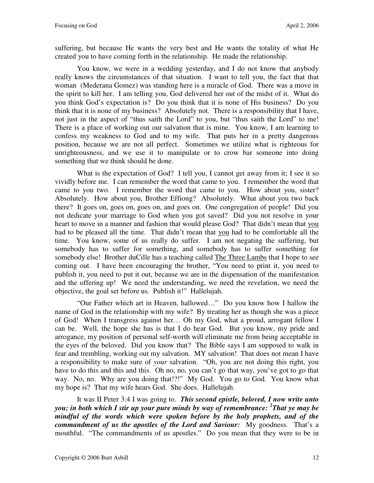suffering, but because He wants the very best and He wants the totality of what He created you to have coming forth in the relationship. He made the relationship.

You know, we were in a wedding yesterday, and I do not know that anybody really knows the circumstances of that situation. I want to tell you, the fact that that woman (Mederana Gomez) was standing here is a miracle of God. There was a move in the spirit to kill her. I am telling you, God delivered her out of the midst of it. What do you think God's expectation is? Do you think that it is none of His business? Do you think that it is none of my business? Absolutely not. There is a responsibility that I have, not just in the aspect of "thus saith the Lord" to you, but "thus saith the Lord" to me! There is a place of working out our salvation that is mine. You know, I am learning to confess my weakness to God and to my wife. That puts her in a pretty dangerous position, because we are not all perfect. Sometimes we utilize what is righteous for unrighteousness, and we use it to manipulate or to crow bar someone into doing something that we think should be done.

What is the expectation of God? I tell you, I cannot get away from it; I see it so vividly before me. I can remember the word that came to you. I remember the word that came to you two. I remember the word that came to you. How about you, sister? Absolutely. How about you, Brother Effiong? Absolutely. What about you two back there? It goes on, goes on, goes on, and goes on. One congregation of people! Did you not dedicate your marriage to God when you got saved? Did you not resolve in your heart to move in a manner and fashion that would please God? That didn't mean that you had to be pleased all the time. That didn't mean that you had to be comfortable all the time. You know, some of us really do suffer. I am not negating the suffering, but somebody has to suffer for something, and somebody has to suffer something for somebody else! Brother duCille has a teaching called The Three Lambs that I hope to see coming out. I have been encouraging the brother, "You need to print it, you need to publish it, you need to put it out, because we are in the dispensation of the manifestation and the offering up! We need the understanding, we need the revelation, we need the objective, the goal set before us. Publish it!" Hallelujah.

"Our Father which art in Heaven, hallowed…" Do you know how I hallow the name of God in the relationship with my wife? By treating her as though she was a piece of God! When I transgress against her… Oh my God, what a proud, arrogant fellow I can be. Well, the hope she has is that I do hear God. But you know, my pride and arrogance, my position of personal self-worth will eliminate me from being acceptable in the eyes of the beloved. Did you know that? The Bible says I am supposed to walk in fear and trembling, working out my salvation. MY salvation! That does not mean I have a responsibility to make sure of *your* salvation. "Oh, you are not doing this right, you have to do this and this and this. Oh no, no, you can't go that way, you've got to go that way. No, no. Why are you doing that!?!" My God. You go to God. You know what my hope is? That my wife hears God. She does. Hallelujah.

It was II Peter 3:4 I was going to. *This second epistle, beloved, I now write unto you; in both which I stir up your pure minds by way of remembrance: <sup>2</sup> That ye may be mindful of the words which were spoken before by the holy prophets, and of the commandment of us the apostles of the Lord and Saviour:* My goodness. That's a mouthful. "The commandments of us apostles." Do you mean that they were to be in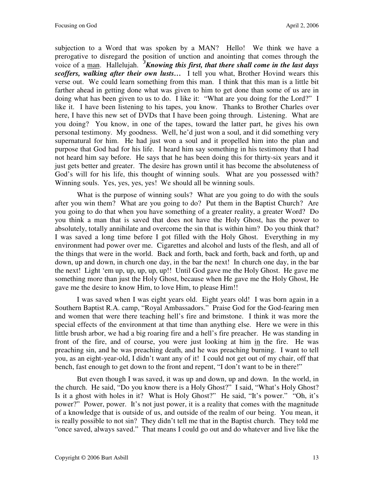subjection to a Word that was spoken by a MAN? Hello! We think we have a prerogative to disregard the position of unction and anointing that comes through the voice of a man. Hallelujah. *<sup>3</sup>Knowing this first, that there shall come in the last days scoffers, walking after their own lusts…* I tell you what, Brother Hovind wears this verse out. We could learn something from this man. I think that this man is a little bit farther ahead in getting done what was given to him to get done than some of us are in doing what has been given to us to do. I like it: "What are you doing for the Lord?" I like it. I have been listening to his tapes, you know. Thanks to Brother Charles over here, I have this new set of DVDs that I have been going through. Listening. What are you doing? You know, in one of the tapes, toward the latter part, he gives his own personal testimony. My goodness. Well, he'd just won a soul, and it did something very supernatural for him. He had just won a soul and it propelled him into the plan and purpose that God had for his life. I heard him say something in his testimony that I had not heard him say before. He says that he has been doing this for thirty-six years and it just gets better and greater. The desire has grown until it has become the absoluteness of God's will for his life, this thought of winning souls. What are you possessed with? Winning souls. Yes, yes, yes, yes! We should all be winning souls.

What is the purpose of winning souls? What are you going to do with the souls after you win them? What are you going to do? Put them in the Baptist Church? Are you going to do that when you have something of a greater reality, a greater Word? Do you think a man that is saved that does not have the Holy Ghost, has the power to absolutely, totally annihilate and overcome the sin that is within him? Do you think that? I was saved a long time before I got filled with the Holy Ghost. Everything in my environment had power over me. Cigarettes and alcohol and lusts of the flesh, and all of the things that were in the world. Back and forth, back and forth, back and forth, up and down, up and down, in church one day, in the bar the next! In church one day, in the bar the next! Light 'em up, up, up, up, up!! Until God gave me the Holy Ghost. He gave me something more than just the Holy Ghost, because when He gave me the Holy Ghost, He gave me the desire to know Him, to love Him, to please Him!!

I was saved when I was eight years old. Eight years old! I was born again in a Southern Baptist R.A. camp, "Royal Ambassadors." Praise God for the God-fearing men and women that were there teaching hell's fire and brimstone. I think it was more the special effects of the environment at that time than anything else. Here we were in this little brush arbor, we had a big roaring fire and a hell's fire preacher. He was standing in front of the fire, and of course, you were just looking at him in the fire. He was preaching sin, and he was preaching death, and he was preaching burning. I want to tell you, as an eight-year-old, I didn't want any of it! I could not get out of my chair, off that bench, fast enough to get down to the front and repent, "I don't want to be in there!"

But even though I was saved, it was up and down, up and down. In the world, in the church. He said, "Do you know there is a Holy Ghost?" I said, "What's Holy Ghost? Is it a ghost with holes in it? What is Holy Ghost?" He said, "It's power." "Oh, it's power?" Power, power. It's not just power, it is a reality that comes with the magnitude of a knowledge that is outside of us, and outside of the realm of our being. You mean, it is really possible to not sin? They didn't tell me that in the Baptist church. They told me "once saved, always saved." That means I could go out and do whatever and live like the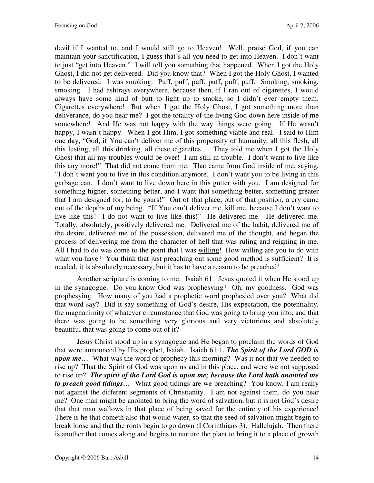devil if I wanted to, and I would still go to Heaven! Well, praise God, if you can maintain your sanctification, I guess that's all you need to get into Heaven. I don't want to just "get into Heaven." I will tell you something that happened. When I got the Holy Ghost, I did not get delivered. Did you know that? When I got the Holy Ghost, I wanted to be delivered. I was smoking. Puff, puff, puff, puff, puff, puff. Smoking, smoking, smoking. I had ashtrays everywhere, because then, if I ran out of cigarettes, I would always have some kind of butt to light up to smoke, so I didn't ever empty them. Cigarettes everywhere! But when I got the Holy Ghost, I got something more than deliverance, do you hear me? I got the totality of the living God down here inside of me somewhere! And He was not happy with the way things were going. If He wasn't happy, I wasn't happy. When I got Him, I got something viable and real. I said to Him one day, "God, if You can't deliver me of this propensity of humanity, all this flesh, all this lusting, all this drinking, all these cigarettes… They told me when I got the Holy Ghost that all my troubles would be over! I am still in trouble. I don't want to live like this any more!" That did not come from me. That came from God inside of me, saying, "I don't want you to live in this condition anymore. I don't want you to be living in this garbage can. I don't want to live down here in this gutter with you. I am designed for something higher, something better, and I want that something better, something greater that I am designed for, to be yours!" Out of that place, out of that position, a cry came out of the depths of my being. "If You can't deliver me, kill me, because I don't want to live like this! I do not want to live like this!" He delivered me. He delivered me. Totally, absolutely, positively delivered me. Delivered me of the habit, delivered me of the desire, delivered me of the possession, delivered me of the thought, and began the process of delivering me from the character of hell that was ruling and reigning in me. All I had to do was come to the point that I was willing! How willing are you to do with what you have? You think that just preaching out some good method is sufficient? It is needed, it is absolutely necessary, but it has to have a reason to be preached!

Another scripture is coming to me. Isaiah 61. Jesus quoted it when He stood up in the synagogue. Do you know God was prophesying? Oh, my goodness. God was prophesying. How many of you had a prophetic word prophesied over you? What did that word say? Did it say something of God's desire, His expectation, the potentiality, the magnanimity of whatever circumstance that God was going to bring you into, and that there was going to be something very glorious and very victorious and absolutely beautiful that was going to come out of it?

Jesus Christ stood up in a synagogue and He began to proclaim the words of God that were announced by His prophet, Isaiah. Isaiah 61:1, *The Spirit of the Lord GOD is upon me…* What was the word of prophecy this morning? Was it not that we needed to rise up? That the Spirit of God was upon us and in this place, and were we not supposed to rise up? *The spirit of the Lord God is upon me; because the Lord hath anointed me to preach good tidings…* What good tidings are we preaching? You know, I am really not against the different segments of Christianity. I am not against them, do you hear me? One man might be anointed to bring the word of salvation, but it is not God's desire that that man wallows in that place of being saved for the entirety of his experience! There is he that cometh also that would water, so that the seed of salvation might begin to break loose and that the roots begin to go down (I Corinthians 3). Hallelujah. Then there is another that comes along and begins to nurture the plant to bring it to a place of growth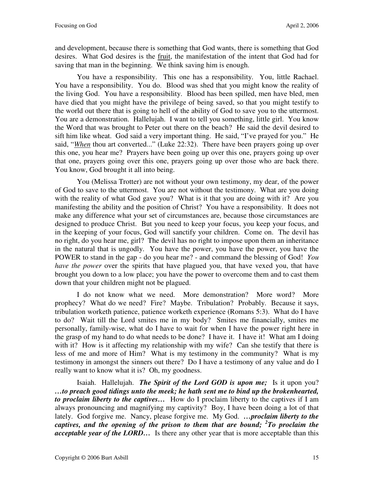and development, because there is something that God wants, there is something that God desires. What God desires is the fruit, the manifestation of the intent that God had for saving that man in the beginning. We think saving him is enough.

You have a responsibility. This one has a responsibility. You, little Rachael. You have a responsibility. You do. Blood was shed that you might know the reality of the living God. You have a responsibility. Blood has been spilled, men have bled, men have died that you might have the privilege of being saved, so that you might testify to the world out there that is going to hell of the ability of God to save you to the uttermost. You are a demonstration. Hallelujah. I want to tell you something, little girl. You know the Word that was brought to Peter out there on the beach? He said the devil desired to sift him like wheat. God said a very important thing. He said, "I've prayed for you." He said, "*When* thou art converted..." (Luke 22:32). There have been prayers going up over this one, you hear me? Prayers have been going up over this one, prayers going up over that one, prayers going over this one, prayers going up over those who are back there. You know, God brought it all into being.

You (Melissa Trotter) are not without your own testimony, my dear, of the power of God to save to the uttermost. You are not without the testimony. What are you doing with the reality of what God gave you? What is it that you are doing with it? Are you manifesting the ability and the position of Christ? You have a responsibility. It does not make any difference what your set of circumstances are, because those circumstances are designed to produce Christ. But you need to keep your focus, you keep your focus, and in the keeping of your focus, God will sanctify your children. Come on. The devil has no right, do you hear me, girl? The devil has no right to impose upon them an inheritance in the natural that is ungodly. You have the power, you have the power, you have the POWER to stand in the gap - do you hear me? - and command the blessing of God! *You have the power* over the spirits that have plagued you, that have vexed you, that have brought you down to a low place; you have the power to overcome them and to cast them down that your children might not be plagued.

I do not know what we need. More demonstration? More word? More prophecy? What do we need? Fire? Maybe. Tribulation? Probably. Because it says, tribulation worketh patience, patience worketh experience (Romans 5:3). What do I have to do? Wait till the Lord smites me in my body? Smites me financially, smites me personally, family-wise, what do I have to wait for when I have the power right here in the grasp of my hand to do what needs to be done? I have it. I have it! What am I doing with it? How is it affecting my relationship with my wife? Can she testify that there is less of me and more of Him? What is my testimony in the community? What is my testimony in amongst the sinners out there? Do I have a testimony of any value and do I really want to know what it is? Oh, my goodness.

Isaiah. Hallelujah. *The Spirit of the Lord GOD is upon me;* Is it upon you? *…to preach good tidings unto the meek; he hath sent me to bind up the brokenhearted, to proclaim liberty to the captives…* How do I proclaim liberty to the captives if I am always pronouncing and magnifying my captivity? Boy, I have been doing a lot of that lately. God forgive me. Nancy, please forgive me. My God. *…proclaim liberty to the captives, and the opening of the prison to them that are bound; <sup>2</sup> To proclaim the acceptable year of the LORD…* Is there any other year that is more acceptable than this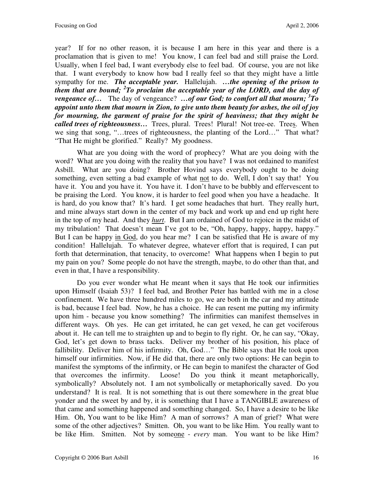year? If for no other reason, it is because I am here in this year and there is a proclamation that is given to me! You know, I can feel bad and still praise the Lord. Usually, when I feel bad, I want everybody else to feel bad. Of course, you are not like that. I want everybody to know how bad I really feel so that they might have a little sympathy for me. *The acceptable year.* Hallelujah. *…the opening of the prison to them that are bound; <sup>2</sup> To proclaim the acceptable year of the LORD, and the day of vengeance of…* The day of vengeance? *…of our God; to comfort all that mourn; <sup>3</sup> To appoint unto them that mourn in Zion, to give unto them beauty for ashes, the oil of joy for mourning, the garment of praise for the spirit of heaviness; that they might be called trees of righteousness…* Trees, plural. Trees! Plural! Not tree-ee. Trees. When we sing that song, "…trees of righteousness, the planting of the Lord…" That what? "That He might be glorified." Really? My goodness.

What are you doing with the word of prophecy? What are you doing with the word? What are you doing with the reality that you have? I was not ordained to manifest Asbill. What are you doing? Brother Hovind says everybody ought to be doing something, even setting a bad example of what not to do. Well, I don't say that! You have it. You and you have it. You have it. I don't have to be bubbly and effervescent to be praising the Lord. You know, it is harder to feel good when you have a headache. It is hard, do you know that? It's hard. I get some headaches that hurt. They really hurt, and mine always start down in the center of my back and work up and end up right here in the top of my head. And they *hurt*. But I am ordained of God to rejoice in the midst of my tribulation! That doesn't mean I've got to be, "Oh, happy, happy, happy, happy." But I can be happy in God, do you hear me? I can be satisfied that He is aware of my condition! Hallelujah. To whatever degree, whatever effort that is required, I can put forth that determination, that tenacity, to overcome! What happens when I begin to put my pain on you? Some people do not have the strength, maybe, to do other than that, and even in that, I have a responsibility.

Do you ever wonder what He meant when it says that He took our infirmities upon Himself (Isaiah 53)? I feel bad, and Brother Peter has battled with me in a close confinement. We have three hundred miles to go, we are both in the car and my attitude is bad, because I feel bad. Now, he has a choice. He can resent me putting my infirmity upon him - because you know something? The infirmities can manifest themselves in different ways. Oh yes. He can get irritated, he can get vexed, he can get vociferous about it. He can tell me to straighten up and to begin to fly right. Or, he can say, "Okay, God, let's get down to brass tacks. Deliver my brother of his position, his place of fallibility. Deliver him of his infirmity. Oh, God…" The Bible says that He took upon himself our infirmities. Now, if He did that, there are only two options: He can begin to manifest the symptoms of the infirmity, or He can begin to manifest the character of God that overcomes the infirmity. Loose! Do you think it meant metaphorically, symbolically? Absolutely not. I am not symbolically or metaphorically saved. Do you understand? It is real. It is not something that is out there somewhere in the great blue yonder and the sweet by and by, it is something that I have a TANGIBLE awareness of that came and something happened and something changed. So, I have a desire to be like Him. Oh, You want to be like Him? A man of sorrows? A man of grief? What were some of the other adjectives? Smitten. Oh, you want to be like Him. You really want to be like Him. Smitten. Not by someone - *every* man. You want to be like Him?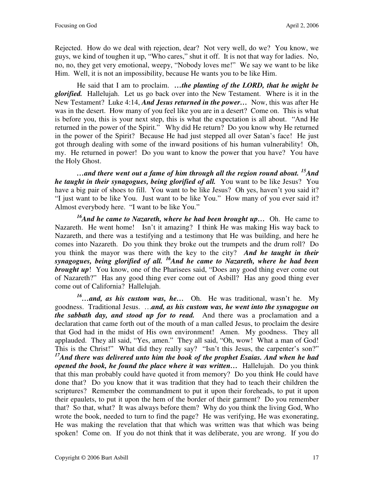Rejected. How do we deal with rejection, dear? Not very well, do we? You know, we guys, we kind of toughen it up, "Who cares," shut it off. It is not that way for ladies. No, no, no, they get very emotional, weepy, "Nobody loves me!" We say we want to be like Him. Well, it is not an impossibility, because He wants you to be like Him.

He said that I am to proclaim. *…the planting of the LORD, that he might be glorified.* Hallelujah. Let us go back over into the New Testament. Where is it in the New Testament? Luke 4:14, *And Jesus returned in the power…* Now, this was after He was in the desert. How many of you feel like you are in a desert? Come on. This is what is before you, this is your next step, this is what the expectation is all about. "And He returned in the power of the Spirit." Why did He return? Do you know why He returned in the power of the Spirit? Because He had just stepped all over Satan's face! He just got through dealing with some of the inward positions of his human vulnerability! Oh, my. He returned in power! Do you want to know the power that you have? You have the Holy Ghost.

*…and there went out a fame of him through all the region round about. <sup>15</sup>And he taught in their synagogues, being glorified of all.* You want to be like Jesus? You have a big pair of shoes to fill. You want to be like Jesus? Oh yes, haven't you said it? "I just want to be like You. Just want to be like You." How many of you ever said it? Almost everybody here. "I want to be like You."

*<sup>16</sup>And he came to Nazareth, where he had been brought up…* Oh. He came to Nazareth. He went home! Isn't it amazing? I think He was making His way back to Nazareth, and there was a testifying and a testimony that He was building, and here he comes into Nazareth. Do you think they broke out the trumpets and the drum roll? Do you think the mayor was there with the key to the city? *And he taught in their synagogues, being glorified of all. <sup>16</sup>And he came to Nazareth, where he had been brought up*! You know, one of the Pharisees said, "Does any good thing ever come out of Nazareth?" Has any good thing ever come out of Asbill? Has any good thing ever come out of California? Hallelujah.

*<sup>16</sup>…and, as his custom was, he…* Oh. He was traditional, wasn't he. My goodness. Traditional Jesus. …*and, as his custom was, he went into the synagogue on the sabbath day, and stood up for to read.* And there was a proclamation and a declaration that came forth out of the mouth of a man called Jesus, to proclaim the desire that God had in the midst of His own environment! Amen. My goodness. They all applauded. They all said, "Yes, amen." They all said, "Oh, wow! What a man of God! This is the Christ!" What did they really say? "Isn't this Jesus, the carpenter's son?" *<sup>17</sup>And there was delivered unto him the book of the prophet Esaias. And when he had opened the book, he found the place where it was written…* Hallelujah. Do you think that this man probably could have quoted it from memory? Do you think He could have done that? Do you know that it was tradition that they had to teach their children the scriptures? Remember the commandment to put it upon their foreheads, to put it upon their epaulets, to put it upon the hem of the border of their garment? Do you remember that? So that, what? It was always before them? Why do you think the living God, Who wrote the book, needed to turn to find the page? He was verifying, He was exonerating, He was making the revelation that that which was written was that which was being spoken! Come on. If you do not think that it was deliberate, you are wrong. If you do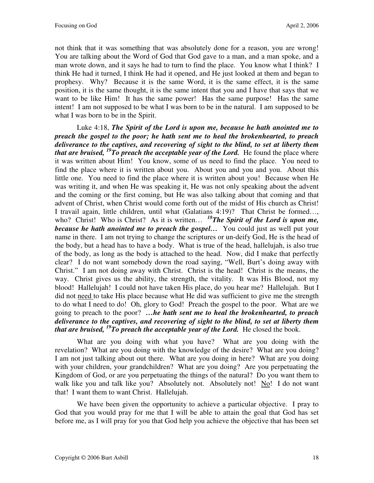not think that it was something that was absolutely done for a reason, you are wrong! You are talking about the Word of God that God gave to a man, and a man spoke, and a man wrote down, and it says he had to turn to find the place. You know what I think? I think He had it turned, I think He had it opened, and He just looked at them and began to prophesy. Why? Because it is the same Word, it is the same effect, it is the same position, it is the same thought, it is the same intent that you and I have that says that we want to be like Him! It has the same power! Has the same purpose! Has the same intent! I am not supposed to be what I was born to be in the natural. I am supposed to be what I was born to be in the Spirit.

Luke 4:18, *The Spirit of the Lord is upon me, because he hath anointed me to preach the gospel to the poor; he hath sent me to heal the brokenhearted, to preach deliverance to the captives, and recovering of sight to the blind, to set at liberty them that are bruised, <sup>19</sup>To preach the acceptable year of the Lord.* He found the place where it was written about Him! You know, some of us need to find the place. You need to find the place where it is written about you. About you and you and you. About this little one. You need to find the place where it is written about you! Because when He was writing it, and when He was speaking it, He was not only speaking about the advent and the coming or the first coming, but He was also talking about that coming and that advent of Christ, when Christ would come forth out of the midst of His church as Christ! I travail again, little children, until what (Galatians 4:19)? That Christ be formed…, who? Christ! Who is Christ? As it is written... <sup>18</sup>*The Spirit of the Lord is upon me*, *because he hath anointed me to preach the gospel…* You could just as well put your name in there. I am not trying to change the scriptures or un-deify God, He is the head of the body, but a head has to have a body. What is true of the head, hallelujah, is also true of the body, as long as the body is attached to the head. Now, did I make that perfectly clear? I do not want somebody down the road saying, "Well, Burt's doing away with Christ." I am not doing away with Christ. Christ is the head! Christ is the means, the way. Christ gives us the ability, the strength, the vitality. It was His Blood, not my blood! Hallelujah! I could not have taken His place, do you hear me? Hallelujah. But I did not need to take His place because what He did was sufficient to give me the strength to do what I need to do! Oh, glory to God! Preach the gospel to the poor. What are we going to preach to the poor? *…he hath sent me to heal the brokenhearted, to preach deliverance to the captives, and recovering of sight to the blind, to set at liberty them that are bruised, <sup>19</sup>To preach the acceptable year of the Lord.* He closed the book.

What are you doing with what you have? What are you doing with the revelation? What are you doing with the knowledge of the desire? What are you doing? I am not just talking about out there. What are you doing in here? What are you doing with your children, your grandchildren? What are you doing? Are you perpetuating the Kingdom of God, or are you perpetuating the things of the natural? Do you want them to walk like you and talk like you? Absolutely not. Absolutely not! No! I do not want that! I want them to want Christ. Hallelujah.

We have been given the opportunity to achieve a particular objective. I pray to God that you would pray for me that I will be able to attain the goal that God has set before me, as I will pray for you that God help you achieve the objective that has been set